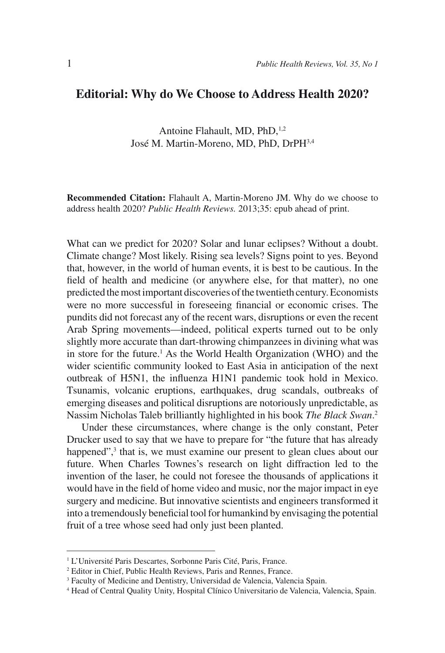## **Editorial: Why do We Choose to Address Health 2020?**

Antoine Flahault, MD, PhD,<sup>1,2</sup> José M. Martin-Moreno, MD, PhD, DrPH3,4

**Recommended Citation:** Flahault A, Martin-Moreno JM. Why do we choose to address health 2020? *Public Health Reviews.* 2013;35: epub ahead of print.

What can we predict for 2020? Solar and lunar eclipses? Without a doubt. Climate change? Most likely. Rising sea levels? Signs point to yes. Beyond that, however, in the world of human events, it is best to be cautious. In the field of health and medicine (or anywhere else, for that matter), no one predicted the most important discoveries of the twentieth century. Economists were no more successful in foreseeing financial or economic crises. The pundits did not forecast any of the recent wars, disruptions or even the recent Arab Spring movements—indeed, political experts turned out to be only slightly more accurate than dart-throwing chimpanzees in divining what was in store for the future.<sup>1</sup> As the World Health Organization (WHO) and the wider scientific community looked to East Asia in anticipation of the next outbreak of H5N1, the influenza H1N1 pandemic took hold in Mexico. Tsunamis, volcanic eruptions, earthquakes, drug scandals, outbreaks of emerging diseases and political disruptions are notoriously unpredictable, as Nassim Nicholas Taleb brilliantly highlighted in his book *The Black Swan*. 2

Under these circumstances, where change is the only constant, Peter Drucker used to say that we have to prepare for "the future that has already happened",<sup>3</sup> that is, we must examine our present to glean clues about our future. When Charles Townes's research on light diffraction led to the invention of the laser, he could not foresee the thousands of applications it would have in the field of home video and music, nor the major impact in eye surgery and medicine. But innovative scientists and engineers transformed it into a tremendously beneficial tool for humankind by envisaging the potential fruit of a tree whose seed had only just been planted.

<sup>&</sup>lt;sup>1</sup> L'Université Paris Descartes, Sorbonne Paris Cité, Paris, France.

<sup>2</sup> Editor in Chief, Public Health Reviews, Paris and Rennes, France.

<sup>&</sup>lt;sup>3</sup> Faculty of Medicine and Dentistry, Universidad de Valencia, Valencia Spain.

<sup>4</sup> Head of Central Quality Unity, Hospital Clínico Universitario de Valencia, Valencia, Spain.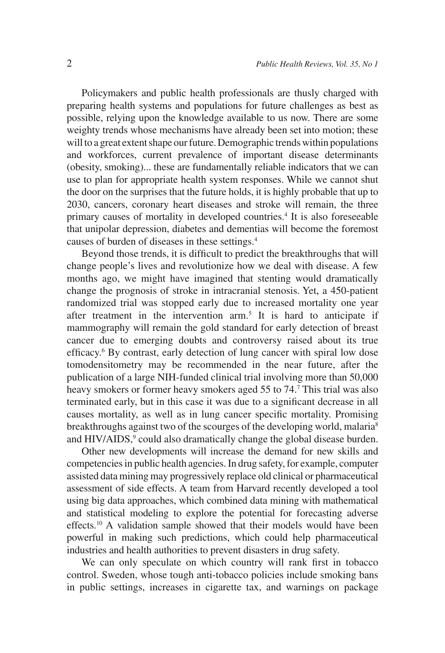Policymakers and public health professionals are thusly charged with preparing health systems and populations for future challenges as best as possible, relying upon the knowledge available to us now. There are some weighty trends whose mechanisms have already been set into motion; these will to a great extent shape our future. Demographic trends within populations and workforces, current prevalence of important disease determinants (obesity, smoking)... these are fundamentally reliable indicators that we can use to plan for appropriate health system responses. While we cannot shut the door on the surprises that the future holds, it is highly probable that up to 2030, cancers, coronary heart diseases and stroke will remain, the three primary causes of mortality in developed countries.4 It is also foreseeable that unipolar depression, diabetes and dementias will become the foremost causes of burden of diseases in these settings.4

Beyond those trends, it is difficult to predict the breakthroughs that will change people's lives and revolutionize how we deal with disease. A few months ago, we might have imagined that stenting would dramatically change the prognosis of stroke in intracranial stenosis. Yet, a 450-patient randomized trial was stopped early due to increased mortality one year after treatment in the intervention arm.5 It is hard to anticipate if mammography will remain the gold standard for early detection of breast cancer due to emerging doubts and controversy raised about its true efficacy.<sup>6</sup> By contrast, early detection of lung cancer with spiral low dose tomodensitometry may be recommended in the near future, after the publication of a large NIH-funded clinical trial involving more than 50,000 heavy smokers or former heavy smokers aged 55 to 74.<sup>7</sup> This trial was also terminated early, but in this case it was due to a significant decrease in all causes mortality, as well as in lung cancer specific mortality. Promising breakthroughs against two of the scourges of the developing world, malaria<sup>8</sup> and HIV/AIDS,<sup>9</sup> could also dramatically change the global disease burden.

Other new developments will increase the demand for new skills and competencies in public health agencies. In drug safety, for example, computer assisted data mining may progressively replace old clinical or pharmaceutical assessment of side effects. A team from Harvard recently developed a tool using big data approaches, which combined data mining with mathematical and statistical modeling to explore the potential for forecasting adverse effects.10 A validation sample showed that their models would have been powerful in making such predictions, which could help pharmaceutical industries and health authorities to prevent disasters in drug safety.

We can only speculate on which country will rank first in tobacco control. Sweden, whose tough anti-tobacco policies include smoking bans in public settings, increases in cigarette tax, and warnings on package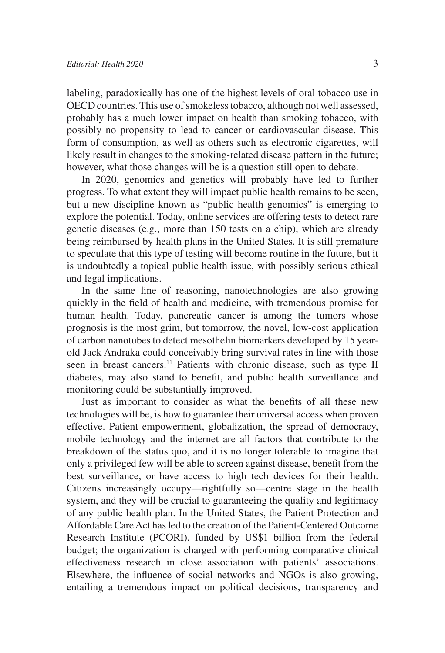labeling, paradoxically has one of the highest levels of oral tobacco use in OECD countries. This use of smokeless tobacco, although not well assessed, probably has a much lower impact on health than smoking tobacco, with possibly no propensity to lead to cancer or cardiovascular disease. This form of consumption, as well as others such as electronic cigarettes, will likely result in changes to the smoking-related disease pattern in the future; however, what those changes will be is a question still open to debate.

In 2020, genomics and genetics will probably have led to further progress. To what extent they will impact public health remains to be seen, but a new discipline known as "public health genomics" is emerging to explore the potential. Today, online services are offering tests to detect rare genetic diseases (e.g., more than 150 tests on a chip), which are already being reimbursed by health plans in the United States. It is still premature to speculate that this type of testing will become routine in the future, but it is undoubtedly a topical public health issue, with possibly serious ethical and legal implications.

In the same line of reasoning, nanotechnologies are also growing quickly in the field of health and medicine, with tremendous promise for human health. Today, pancreatic cancer is among the tumors whose prognosis is the most grim, but tomorrow, the novel, low-cost application of carbon nanotubes to detect mesothelin biomarkers developed by 15 yearold Jack Andraka could conceivably bring survival rates in line with those seen in breast cancers.<sup>11</sup> Patients with chronic disease, such as type II diabetes, may also stand to benefit, and public health surveillance and monitoring could be substantially improved.

Just as important to consider as what the benefits of all these new technologies will be, is how to guarantee their universal access when proven effective. Patient empowerment, globalization, the spread of democracy, mobile technology and the internet are all factors that contribute to the breakdown of the status quo, and it is no longer tolerable to imagine that only a privileged few will be able to screen against disease, benefit from the best surveillance, or have access to high tech devices for their health. Citizens increasingly occupy—rightfully so—centre stage in the health system, and they will be crucial to guaranteeing the quality and legitimacy of any public health plan. In the United States, the Patient Protection and Affordable Care Act has led to the creation of the Patient-Centered Outcome Research Institute (PCORI), funded by US\$1 billion from the federal budget; the organization is charged with performing comparative clinical effectiveness research in close association with patients' associations. Elsewhere, the influence of social networks and NGOs is also growing, entailing a tremendous impact on political decisions, transparency and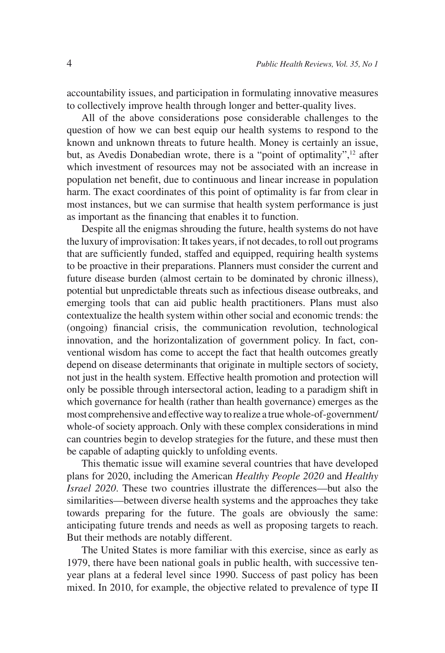accountability issues, and participation in formulating innovative measures to collectively improve health through longer and better-quality lives.

All of the above considerations pose considerable challenges to the question of how we can best equip our health systems to respond to the known and unknown threats to future health. Money is certainly an issue, but, as Avedis Donabedian wrote, there is a "point of optimality",<sup>12</sup> after which investment of resources may not be associated with an increase in population net benefit, due to continuous and linear increase in population harm. The exact coordinates of this point of optimality is far from clear in most instances, but we can surmise that health system performance is just as important as the financing that enables it to function.

Despite all the enigmas shrouding the future, health systems do not have the luxury of improvisation: It takes years, if not decades, to roll out programs that are sufficiently funded, staffed and equipped, requiring health systems to be proactive in their preparations. Planners must consider the current and future disease burden (almost certain to be dominated by chronic illness), potential but unpredictable threats such as infectious disease outbreaks, and emerging tools that can aid public health practitioners. Plans must also contextualize the health system within other social and economic trends: the (ongoing) financial crisis, the communication revolution, technological innovation, and the horizontalization of government policy. In fact, conventional wisdom has come to accept the fact that health outcomes greatly depend on disease determinants that originate in multiple sectors of society, not just in the health system. Effective health promotion and protection will only be possible through intersectoral action, leading to a paradigm shift in which governance for health (rather than health governance) emerges as the most comprehensive and effective way to realize a true whole-of-government/ whole-of society approach. Only with these complex considerations in mind can countries begin to develop strategies for the future, and these must then be capable of adapting quickly to unfolding events.

This thematic issue will examine several countries that have developed plans for 2020, including the American *Healthy People 2020* and *Healthy Israel 2020*. These two countries illustrate the differences—but also the similarities—between diverse health systems and the approaches they take towards preparing for the future. The goals are obviously the same: anticipating future trends and needs as well as proposing targets to reach. But their methods are notably different.

The United States is more familiar with this exercise, since as early as 1979, there have been national goals in public health, with successive tenyear plans at a federal level since 1990. Success of past policy has been mixed. In 2010, for example, the objective related to prevalence of type II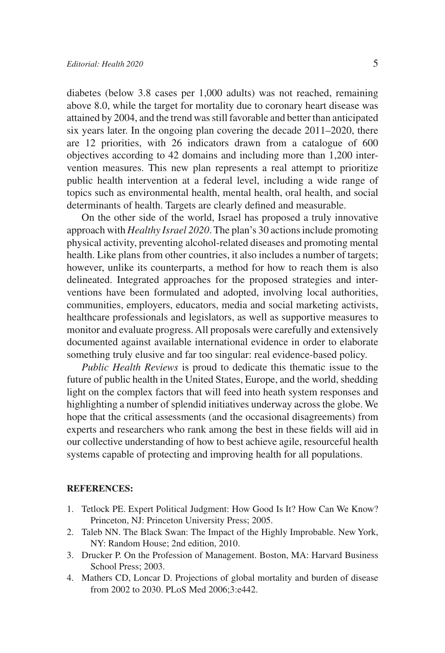diabetes (below 3.8 cases per 1,000 adults) was not reached, remaining above 8.0, while the target for mortality due to coronary heart disease was attained by 2004, and the trend was still favorable and better than anticipated six years later. In the ongoing plan covering the decade 2011–2020, there are 12 priorities, with 26 indicators drawn from a catalogue of 600 objectives according to 42 domains and including more than 1,200 intervention measures. This new plan represents a real attempt to prioritize public health intervention at a federal level, including a wide range of topics such as environmental health, mental health, oral health, and social determinants of health. Targets are clearly defined and measurable.

On the other side of the world, Israel has proposed a truly innovative approach with *Healthy Israel 2020*. The plan's 30 actions include promoting physical activity, preventing alcohol-related diseases and promoting mental health. Like plans from other countries, it also includes a number of targets; however, unlike its counterparts, a method for how to reach them is also delineated. Integrated approaches for the proposed strategies and interventions have been formulated and adopted, involving local authorities, communities, employers, educators, media and social marketing activists, healthcare professionals and legislators, as well as supportive measures to monitor and evaluate progress. All proposals were carefully and extensively documented against available international evidence in order to elaborate something truly elusive and far too singular: real evidence-based policy.

*Public Health Reviews* is proud to dedicate this thematic issue to the future of public health in the United States, Europe, and the world, shedding light on the complex factors that will feed into heath system responses and highlighting a number of splendid initiatives underway across the globe. We hope that the critical assessments (and the occasional disagreements) from experts and researchers who rank among the best in these fields will aid in our collective understanding of how to best achieve agile, resourceful health systems capable of protecting and improving health for all populations.

## **REFERENCES:**

- 1. Tetlock PE. Expert Political Judgment: How Good Is It? How Can We Know? Princeton, NJ: Princeton University Press; 2005.
- 2. Taleb NN. The Black Swan: The Impact of the Highly Improbable. New York, NY: Random House; 2nd edition, 2010.
- 3. Drucker P. On the Profession of Management. Boston, MA: Harvard Business School Press; 2003.
- 4. Mathers CD, Loncar D. Projections of global mortality and burden of disease from 2002 to 2030. PLoS Med 2006;3:e442.